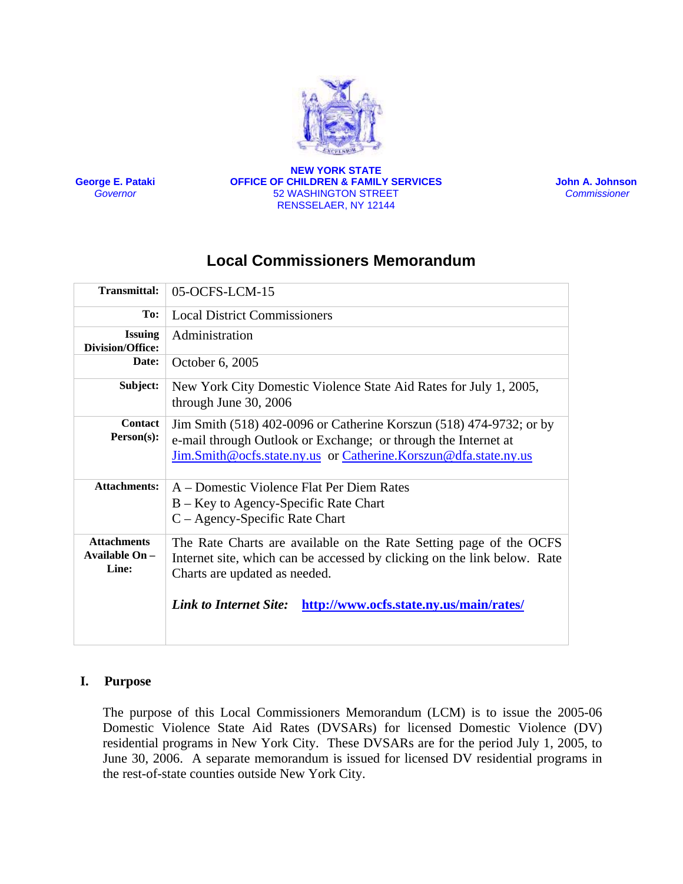

**George E. Pataki** *Governor*

**NEW YORK STATE OFFICE OF CHILDREN & FAMILY SERVICES** 52 WASHINGTON STREET RENSSELAER, NY 12144

 **John A. Johnson**  *Commissioner* 

# **Local Commissioners Memorandum**

| <b>Transmittal:</b>                             | 05-OCFS-LCM-15                                                                                                                                                                                           |
|-------------------------------------------------|----------------------------------------------------------------------------------------------------------------------------------------------------------------------------------------------------------|
| To:                                             | <b>Local District Commissioners</b>                                                                                                                                                                      |
| <b>Issuing</b><br><b>Division/Office:</b>       | Administration                                                                                                                                                                                           |
| Date:                                           | October 6, 2005                                                                                                                                                                                          |
| Subject:                                        | New York City Domestic Violence State Aid Rates for July 1, 2005,<br>through June 30, 2006                                                                                                               |
| <b>Contact</b><br>$Person(s)$ :                 | Jim Smith (518) 402-0096 or Catherine Korszun (518) 474-9732; or by<br>e-mail through Outlook or Exchange; or through the Internet at<br>Jim.Smith@ocfs.state.ny.us or Catherine.Korszun@dfa.state.ny.us |
| <b>Attachments:</b>                             | A – Domestic Violence Flat Per Diem Rates<br>$B - Key$ to Agency-Specific Rate Chart<br>$C - Agency-Specific Rate Chart$                                                                                 |
| <b>Attachments</b><br>Available $On -$<br>Line: | The Rate Charts are available on the Rate Setting page of the OCFS<br>Internet site, which can be accessed by clicking on the link below. Rate<br>Charts are updated as needed.                          |
|                                                 | <b>Link to Internet Site:</b><br>http://www.ocfs.state.ny.us/main/rates/                                                                                                                                 |

#### **I. Purpose**

The purpose of this Local Commissioners Memorandum (LCM) is to issue the 2005-06 Domestic Violence State Aid Rates (DVSARs) for licensed Domestic Violence (DV) residential programs in New York City. These DVSARs are for the period July 1, 2005, to June 30, 2006. A separate memorandum is issued for licensed DV residential programs in the rest-of-state counties outside New York City.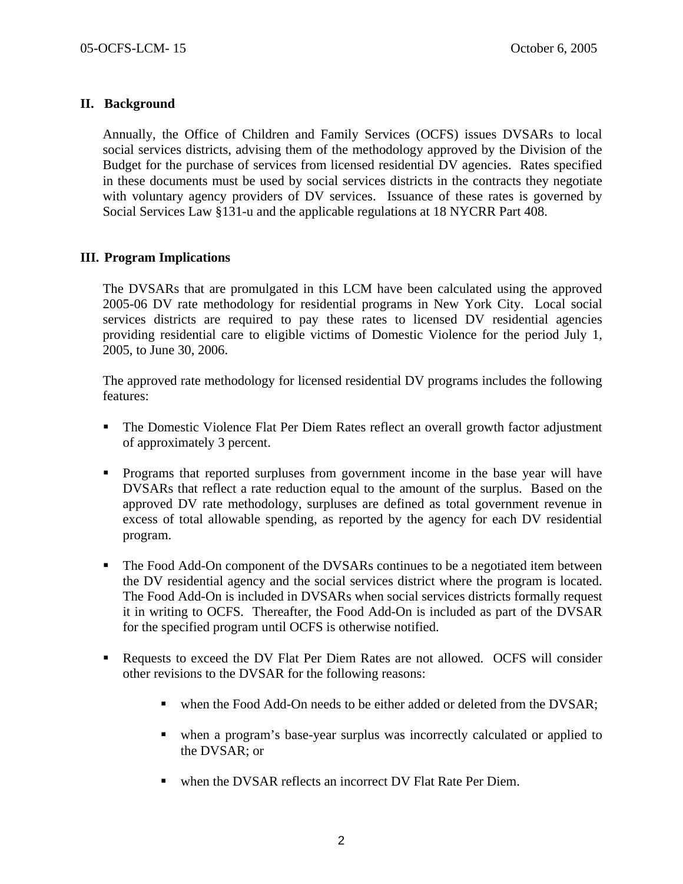## **II. Background**

Annually, the Office of Children and Family Services (OCFS) issues DVSARs to local social services districts, advising them of the methodology approved by the Division of the Budget for the purchase of services from licensed residential DV agencies. Rates specified in these documents must be used by social services districts in the contracts they negotiate with voluntary agency providers of DV services. Issuance of these rates is governed by Social Services Law §131-u and the applicable regulations at 18 NYCRR Part 408.

## **III. Program Implications**

The DVSARs that are promulgated in this LCM have been calculated using the approved 2005-06 DV rate methodology for residential programs in New York City. Local social services districts are required to pay these rates to licensed DV residential agencies providing residential care to eligible victims of Domestic Violence for the period July 1, 2005, to June 30, 2006.

The approved rate methodology for licensed residential DV programs includes the following features:

- The Domestic Violence Flat Per Diem Rates reflect an overall growth factor adjustment of approximately 3 percent.
- Programs that reported surpluses from government income in the base year will have DVSARs that reflect a rate reduction equal to the amount of the surplus. Based on the approved DV rate methodology, surpluses are defined as total government revenue in excess of total allowable spending, as reported by the agency for each DV residential program.
- The Food Add-On component of the DVSARs continues to be a negotiated item between the DV residential agency and the social services district where the program is located. The Food Add-On is included in DVSARs when social services districts formally request it in writing to OCFS. Thereafter, the Food Add-On is included as part of the DVSAR for the specified program until OCFS is otherwise notified.
- Requests to exceed the DV Flat Per Diem Rates are not allowed. OCFS will consider other revisions to the DVSAR for the following reasons:
	- when the Food Add-On needs to be either added or deleted from the DVSAR;
	- when a program's base-year surplus was incorrectly calculated or applied to the DVSAR; or
	- when the DVSAR reflects an incorrect DV Flat Rate Per Diem.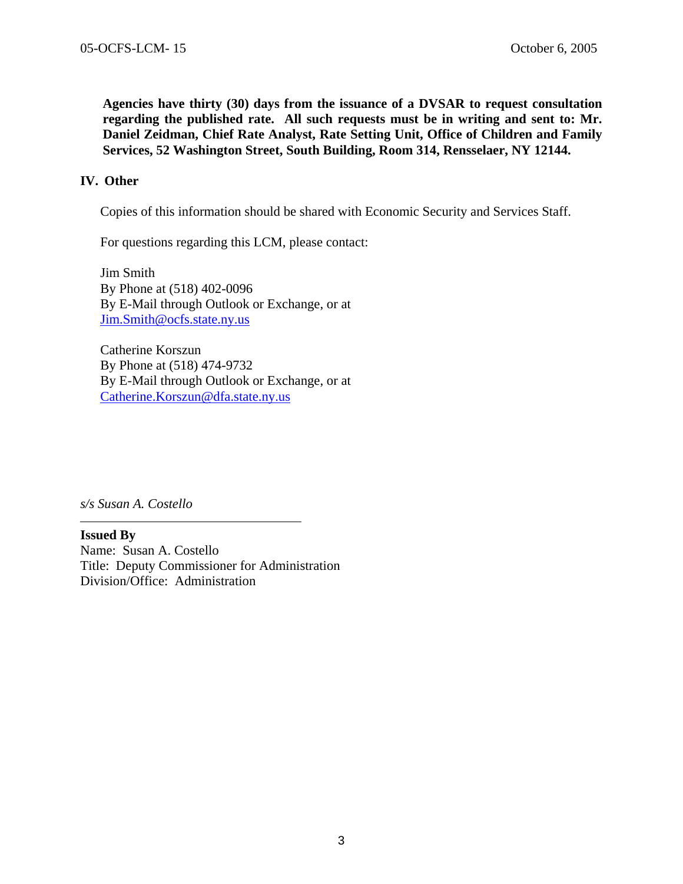**Agencies have thirty (30) days from the issuance of a DVSAR to request consultation regarding the published rate. All such requests must be in writing and sent to: Mr. Daniel Zeidman, Chief Rate Analyst, Rate Setting Unit, Office of Children and Family Services, 52 Washington Street, South Building, Room 314, Rensselaer, NY 12144.** 

#### **IV. Other**

Copies of this information should be shared with Economic Security and Services Staff.

For questions regarding this LCM, please contact:

Jim Smith By Phone at (518) 402-0096 By E-Mail through Outlook or Exchange, or at [Jim.Smith@ocfs.state.ny.us](mailto:Jim.Smith@ocfs.state.ny.us)

Catherine Korszun By Phone at (518) 474-9732 By E-Mail through Outlook or Exchange, or at [Catherine.Korszun@dfa.state.ny.us](mailto:Catherine.Korszun@dfa.state.ny.us)

*s/s Susan A. Costello* 

**Issued By**  Name: Susan A. Costello Title: Deputy Commissioner for Administration Division/Office: Administration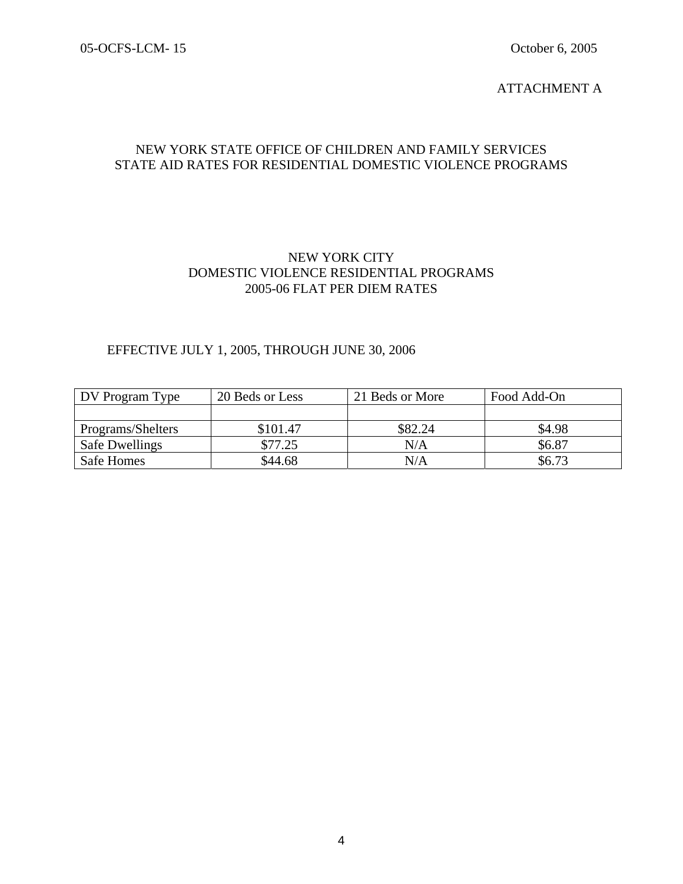#### ATTACHMENT A

## NEW YORK STATE OFFICE OF CHILDREN AND FAMILY SERVICES STATE AID RATES FOR RESIDENTIAL DOMESTIC VIOLENCE PROGRAMS

### NEW YORK CITY DOMESTIC VIOLENCE RESIDENTIAL PROGRAMS 2005-06 FLAT PER DIEM RATES

### EFFECTIVE JULY 1, 2005, THROUGH JUNE 30, 2006

| DV Program Type       | 20 Beds or Less | 21 Beds or More | Food Add-On |
|-----------------------|-----------------|-----------------|-------------|
|                       |                 |                 |             |
| Programs/Shelters     | \$101.47        | \$82.24         | \$4.98      |
| <b>Safe Dwellings</b> | \$77.25         | N/A             | \$6.87      |
| Safe Homes            | \$44.68         | N/A             | \$6.73      |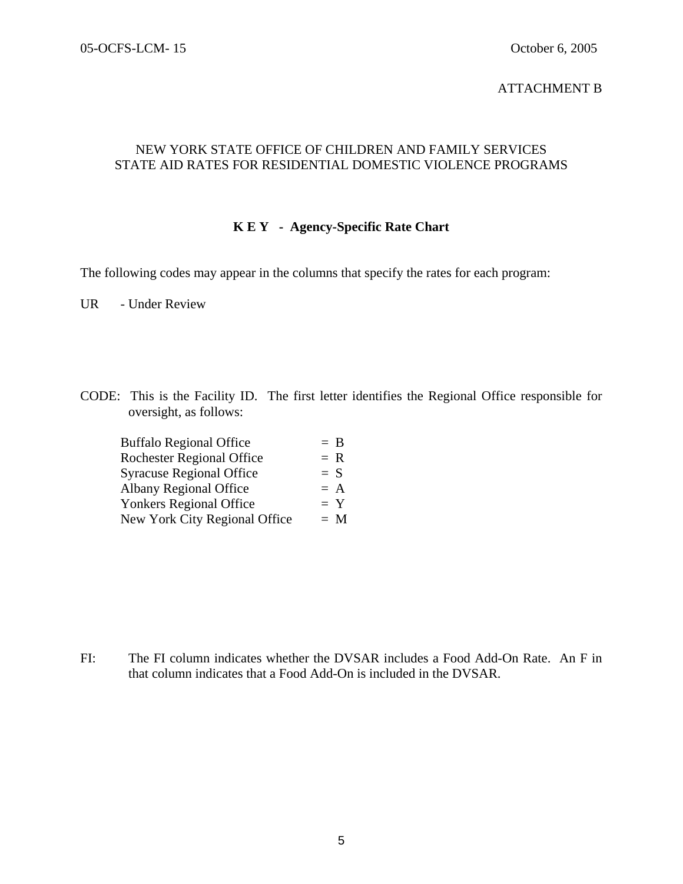#### ATTACHMENT B

## NEW YORK STATE OFFICE OF CHILDREN AND FAMILY SERVICES STATE AID RATES FOR RESIDENTIAL DOMESTIC VIOLENCE PROGRAMS

## **K E Y - Agency-Specific Rate Chart**

The following codes may appear in the columns that specify the rates for each program:

UR - Under Review

CODE: This is the Facility ID. The first letter identifies the Regional Office responsible for oversight, as follows:

| <b>Buffalo Regional Office</b>   | $=$ B |
|----------------------------------|-------|
| <b>Rochester Regional Office</b> | $= R$ |
| <b>Syracuse Regional Office</b>  | $= S$ |
| <b>Albany Regional Office</b>    | $= A$ |
| <b>Yonkers Regional Office</b>   | $= Y$ |
| New York City Regional Office    | $= M$ |

FI: The FI column indicates whether the DVSAR includes a Food Add-On Rate. An F in that column indicates that a Food Add-On is included in the DVSAR.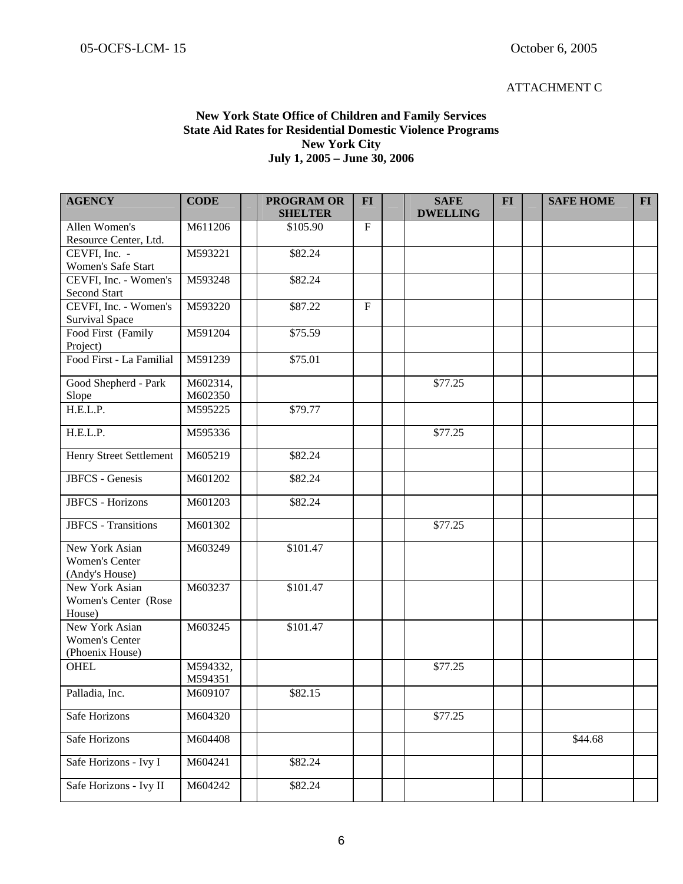#### ATTACHMENT C

### **New York State Office of Children and Family Services State Aid Rates for Residential Domestic Violence Programs New York City July 1, 2005 – June 30, 2006**

| <b>AGENCY</b>                                              | <b>CODE</b>         | <b>PROGRAM OR</b><br><b>SHELTER</b> | <b>FI</b>   | <b>SAFE</b><br><b>DWELLING</b> | <b>FI</b> | <b>SAFE HOME</b> | <b>FI</b> |
|------------------------------------------------------------|---------------------|-------------------------------------|-------------|--------------------------------|-----------|------------------|-----------|
| Allen Women's                                              | M611206             | \$105.90                            | $\mathbf F$ |                                |           |                  |           |
| Resource Center, Ltd.                                      |                     |                                     |             |                                |           |                  |           |
| CEVFI, Inc. -                                              | M593221             | \$82.24                             |             |                                |           |                  |           |
| Women's Safe Start<br>CEVFI, Inc. - Women's                | M593248             |                                     |             |                                |           |                  |           |
| Second Start                                               |                     | \$82.24                             |             |                                |           |                  |           |
| CEVFI, Inc. - Women's<br><b>Survival Space</b>             | M593220             | \$87.22                             | $\mathbf F$ |                                |           |                  |           |
| Food First (Family<br>Project)                             | M591204             | \$75.59                             |             |                                |           |                  |           |
| Food First - La Familial                                   | M591239             | \$75.01                             |             |                                |           |                  |           |
| Good Shepherd - Park<br>Slope                              | M602314,<br>M602350 |                                     |             | \$77.25                        |           |                  |           |
| H.E.L.P.                                                   | M595225             | \$79.77                             |             |                                |           |                  |           |
| H.E.L.P.                                                   | M595336             |                                     |             | \$77.25                        |           |                  |           |
| Henry Street Settlement                                    | M605219             | \$82.24                             |             |                                |           |                  |           |
| <b>JBFCS</b> - Genesis                                     | M601202             | \$82.24                             |             |                                |           |                  |           |
| <b>JBFCS</b> - Horizons                                    | M601203             | \$82.24                             |             |                                |           |                  |           |
| <b>JBFCS</b> - Transitions                                 | M601302             |                                     |             | \$77.25                        |           |                  |           |
| New York Asian<br><b>Women's Center</b><br>(Andy's House)  | M603249             | \$101.47                            |             |                                |           |                  |           |
| New York Asian<br>Women's Center (Rose<br>House)           | M603237             | \$101.47                            |             |                                |           |                  |           |
| New York Asian<br><b>Women's Center</b><br>(Phoenix House) | M603245             | \$101.47                            |             |                                |           |                  |           |
| <b>OHEL</b>                                                | M594332,<br>M594351 |                                     |             | \$77.25                        |           |                  |           |
| Palladia, Inc.                                             | M609107             | \$82.15                             |             |                                |           |                  |           |
| Safe Horizons                                              | M604320             |                                     |             | \$77.25                        |           |                  |           |
| Safe Horizons                                              | M604408             |                                     |             |                                |           | \$44.68          |           |
| Safe Horizons - Ivy I                                      | M604241             | \$82.24                             |             |                                |           |                  |           |
| Safe Horizons - Ivy II                                     | M604242             | \$82.24                             |             |                                |           |                  |           |